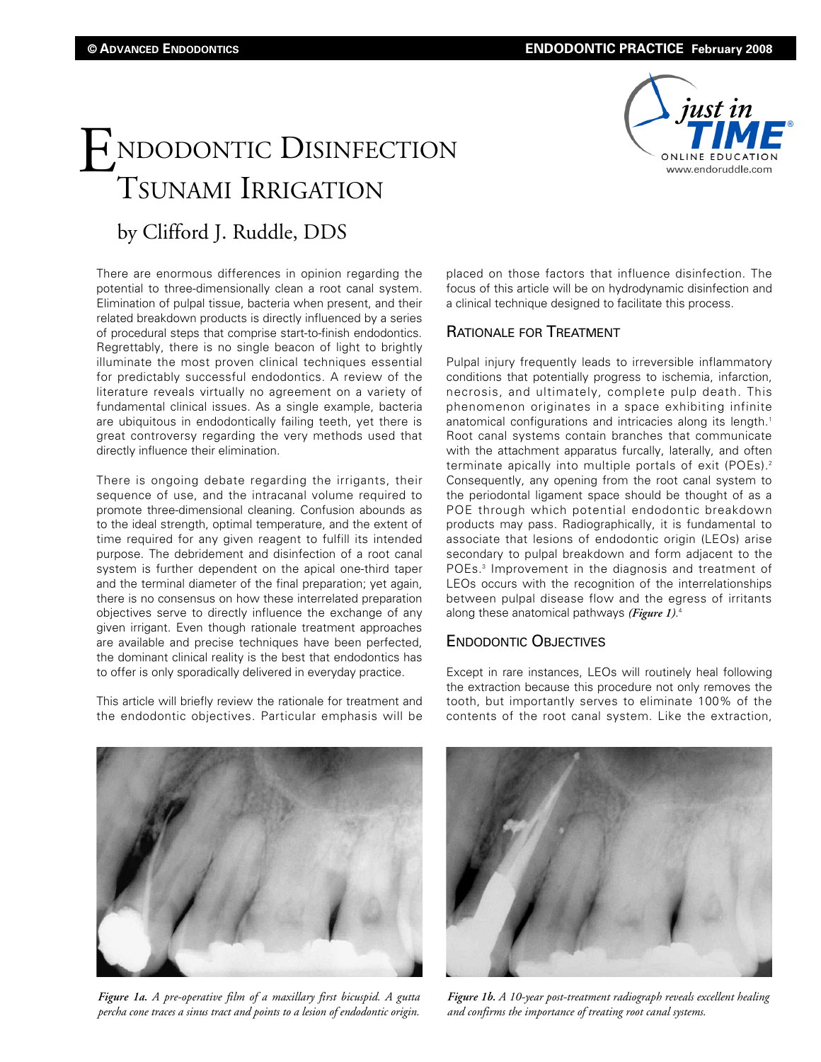# ENDODONTIC DISINFECTION TSUNAMI IRRIGATION



# by Clifford J. Ruddle, DDS

There are enormous differences in opinion regarding the potential to three-dimensionally clean a root canal system. Elimination of pulpal tissue, bacteria when present, and their related breakdown products is directly influenced by a series of procedural steps that comprise start-to-finish endodontics. Regrettably, there is no single beacon of light to brightly illuminate the most proven clinical techniques essential for predictably successful endodontics. A review of the literature reveals virtually no agreement on a variety of fundamental clinical issues. As a single example, bacteria are ubiquitous in endodontically failing teeth, yet there is great controversy regarding the very methods used that directly influence their elimination.

There is ongoing debate regarding the irrigants, their sequence of use, and the intracanal volume required to promote three-dimensional cleaning. Confusion abounds as to the ideal strength, optimal temperature, and the extent of time required for any given reagent to fulfill its intended purpose. The debridement and disinfection of a root canal system is further dependent on the apical one-third taper and the terminal diameter of the final preparation; yet again, there is no consensus on how these interrelated preparation objectives serve to directly influence the exchange of any given irrigant. Even though rationale treatment approaches are available and precise techniques have been perfected, the dominant clinical reality is the best that endodontics has to offer is only sporadically delivered in everyday practice.

This article will briefly review the rationale for treatment and the endodontic objectives. Particular emphasis will be

placed on those factors that influence disinfection. The focus of this article will be on hydrodynamic disinfection and a clinical technique designed to facilitate this process.

# RATIONALE FOR TREATMENT

Pulpal injury frequently leads to irreversible inflammatory conditions that potentially progress to ischemia, infarction, necrosis, and ultimately, complete pulp death. This phenomenon originates in a space exhibiting infinite anatomical configurations and intricacies along its length.<sup>1</sup> Root canal systems contain branches that communicate with the attachment apparatus furcally, laterally, and often terminate apically into multiple portals of exit (POEs).2 Consequently, any opening from the root canal system to the periodontal ligament space should be thought of as a POE through which potential endodontic breakdown products may pass. Radiographically, it is fundamental to associate that lesions of endodontic origin (LEOs) arise secondary to pulpal breakdown and form adjacent to the POEs.3 Improvement in the diagnosis and treatment of LEOs occurs with the recognition of the interrelationships between pulpal disease flow and the egress of irritants along these anatomical pathways *(Figure 1)*. 4

# ENDODONTIC OBJECTIVES

Except in rare instances, LEOs will routinely heal following the extraction because this procedure not only removes the tooth, but importantly serves to eliminate 100% of the contents of the root canal system. Like the extraction,



*Figure 1a. A pre-operative film of a maxillary first bicuspid. A gutta percha cone traces a sinus tract and points to a lesion of endodontic origin.*



*Figure 1b. A 10-year post-treatment radiograph reveals excellent healing and confirms the importance of treating root canal systems.*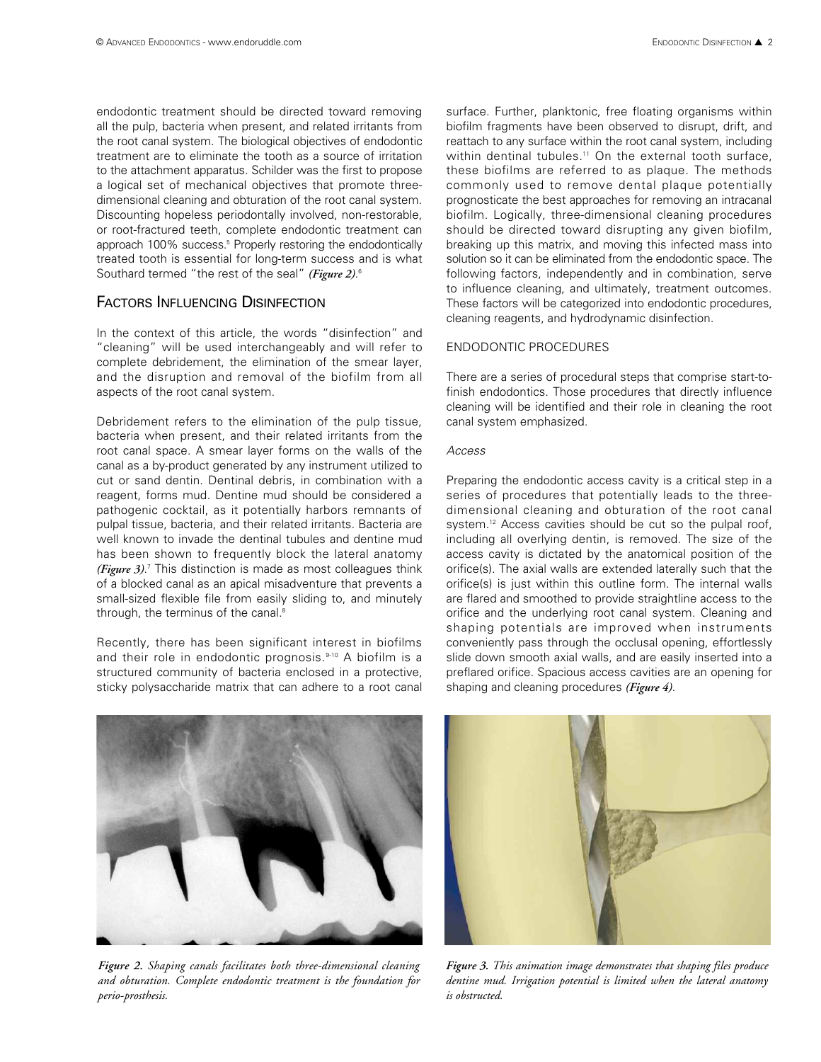endodontic treatment should be directed toward removing all the pulp, bacteria when present, and related irritants from the root canal system. The biological objectives of endodontic treatment are to eliminate the tooth as a source of irritation to the attachment apparatus. Schilder was the first to propose a logical set of mechanical objectives that promote threedimensional cleaning and obturation of the root canal system. Discounting hopeless periodontally involved, non-restorable, or root-fractured teeth, complete endodontic treatment can approach 100% success.<sup>5</sup> Properly restoring the endodontically treated tooth is essential for long-term success and is what Southard termed "the rest of the seal" *(Figure 2)*. 6

# FACTORS INFLUENCING DISINFECTION

In the context of this article, the words "disinfection" and "cleaning" will be used interchangeably and will refer to complete debridement, the elimination of the smear layer, and the disruption and removal of the biofilm from all aspects of the root canal system.

Debridement refers to the elimination of the pulp tissue, bacteria when present, and their related irritants from the root canal space. A smear layer forms on the walls of the canal as a by-product generated by any instrument utilized to cut or sand dentin. Dentinal debris, in combination with a reagent, forms mud. Dentine mud should be considered a pathogenic cocktail, as it potentially harbors remnants of pulpal tissue, bacteria, and their related irritants. Bacteria are well known to invade the dentinal tubules and dentine mud has been shown to frequently block the lateral anatomy *(Figure 3)*. <sup>7</sup> This distinction is made as most colleagues think of a blocked canal as an apical misadventure that prevents a small-sized flexible file from easily sliding to, and minutely through, the terminus of the canal.<sup>8</sup>

Recently, there has been significant interest in biofilms and their role in endodontic prognosis.<sup>9-10</sup> A biofilm is a structured community of bacteria enclosed in a protective, sticky polysaccharide matrix that can adhere to a root canal surface. Further, planktonic, free floating organisms within biofilm fragments have been observed to disrupt, drift, and reattach to any surface within the root canal system, including within dentinal tubules.<sup>11</sup> On the external tooth surface, these biofilms are referred to as plaque. The methods commonly used to remove dental plaque potentially prognosticate the best approaches for removing an intracanal biofilm. Logically, three-dimensional cleaning procedures should be directed toward disrupting any given biofilm, breaking up this matrix, and moving this infected mass into solution so it can be eliminated from the endodontic space. The following factors, independently and in combination, serve to influence cleaning, and ultimately, treatment outcomes. These factors will be categorized into endodontic procedures, cleaning reagents, and hydrodynamic disinfection.

#### ENDODONTIC PROCEDURES

There are a series of procedural steps that comprise start-tofinish endodontics. Those procedures that directly influence cleaning will be identified and their role in cleaning the root canal system emphasized.

#### *Access*

Preparing the endodontic access cavity is a critical step in a series of procedures that potentially leads to the threedimensional cleaning and obturation of the root canal system.<sup>12</sup> Access cavities should be cut so the pulpal roof, including all overlying dentin, is removed. The size of the access cavity is dictated by the anatomical position of the orifice(s). The axial walls are extended laterally such that the orifice(s) is just within this outline form. The internal walls are flared and smoothed to provide straightline access to the orifice and the underlying root canal system. Cleaning and shaping potentials are improved when instruments conveniently pass through the occlusal opening, effortlessly slide down smooth axial walls, and are easily inserted into a preflared orifice. Spacious access cavities are an opening for shaping and cleaning procedures *(Figure 4)*.



*Figure 2. Shaping canals facilitates both three-dimensional cleaning and obturation. Complete endodontic treatment is the foundation for perio-prosthesis.*



*Figure 3. This animation image demonstrates that shaping files produce dentine mud. Irrigation potential is limited when the lateral anatomy is obstructed.*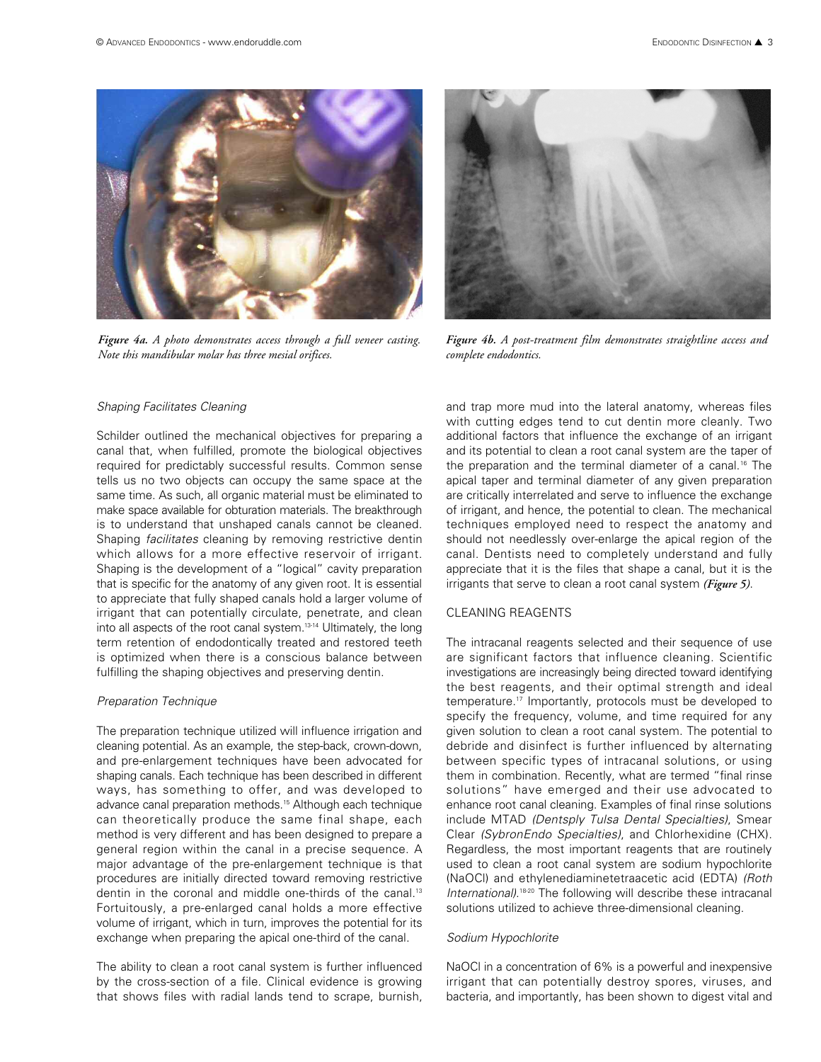

*Figure 4a. A photo demonstrates access through a full veneer casting. Note this mandibular molar has three mesial orifices.*



*Figure 4b. A post-treatment film demonstrates straightline access and complete endodontics.*

#### *Shaping Facilitates Cleaning*

Schilder outlined the mechanical objectives for preparing a canal that, when fulfilled, promote the biological objectives required for predictably successful results. Common sense tells us no two objects can occupy the same space at the same time. As such, all organic material must be eliminated to make space available for obturation materials. The breakthrough is to understand that unshaped canals cannot be cleaned. Shaping *facilitates* cleaning by removing restrictive dentin which allows for a more effective reservoir of irrigant. Shaping is the development of a "logical" cavity preparation that is specific for the anatomy of any given root. It is essential to appreciate that fully shaped canals hold a larger volume of irrigant that can potentially circulate, penetrate, and clean into all aspects of the root canal system.<sup>13-14</sup> Ultimately, the long term retention of endodontically treated and restored teeth is optimized when there is a conscious balance between fulfilling the shaping objectives and preserving dentin.

#### *Preparation Technique*

The preparation technique utilized will influence irrigation and cleaning potential. As an example, the step-back, crown-down, and pre-enlargement techniques have been advocated for shaping canals. Each technique has been described in different ways, has something to offer, and was developed to advance canal preparation methods.<sup>15</sup> Although each technique can theoretically produce the same final shape, each method is very different and has been designed to prepare a general region within the canal in a precise sequence. A major advantage of the pre-enlargement technique is that procedures are initially directed toward removing restrictive dentin in the coronal and middle one-thirds of the canal.<sup>13</sup> Fortuitously, a pre-enlarged canal holds a more effective volume of irrigant, which in turn, improves the potential for its exchange when preparing the apical one-third of the canal.

The ability to clean a root canal system is further influenced by the cross-section of a file. Clinical evidence is growing that shows files with radial lands tend to scrape, burnish,

and trap more mud into the lateral anatomy, whereas files with cutting edges tend to cut dentin more cleanly. Two additional factors that influence the exchange of an irrigant and its potential to clean a root canal system are the taper of the preparation and the terminal diameter of a canal.<sup>16</sup> The apical taper and terminal diameter of any given preparation are critically interrelated and serve to influence the exchange of irrigant, and hence, the potential to clean. The mechanical techniques employed need to respect the anatomy and should not needlessly over-enlarge the apical region of the canal. Dentists need to completely understand and fully appreciate that it is the files that shape a canal, but it is the irrigants that serve to clean a root canal system *(Figure 5)*.

#### CLEANING REAGENTS

The intracanal reagents selected and their sequence of use are significant factors that influence cleaning. Scientific investigations are increasingly being directed toward identifying the best reagents, and their optimal strength and ideal temperature.17 Importantly, protocols must be developed to specify the frequency, volume, and time required for any given solution to clean a root canal system. The potential to debride and disinfect is further influenced by alternating between specific types of intracanal solutions, or using them in combination. Recently, what are termed "final rinse solutions" have emerged and their use advocated to enhance root canal cleaning. Examples of final rinse solutions include MTAD *(Dentsply Tulsa Dental Specialties)*, Smear Clear *(SybronEndo Specialties)*, and Chlorhexidine (CHX). Regardless, the most important reagents that are routinely used to clean a root canal system are sodium hypochlorite (NaOCl) and ethylenediaminetetraacetic acid (EDTA) *(Roth International)*. 18-20 The following will describe these intracanal solutions utilized to achieve three-dimensional cleaning.

#### *Sodium Hypochlorite*

NaOCl in a concentration of 6% is a powerful and inexpensive irrigant that can potentially destroy spores, viruses, and bacteria, and importantly, has been shown to digest vital and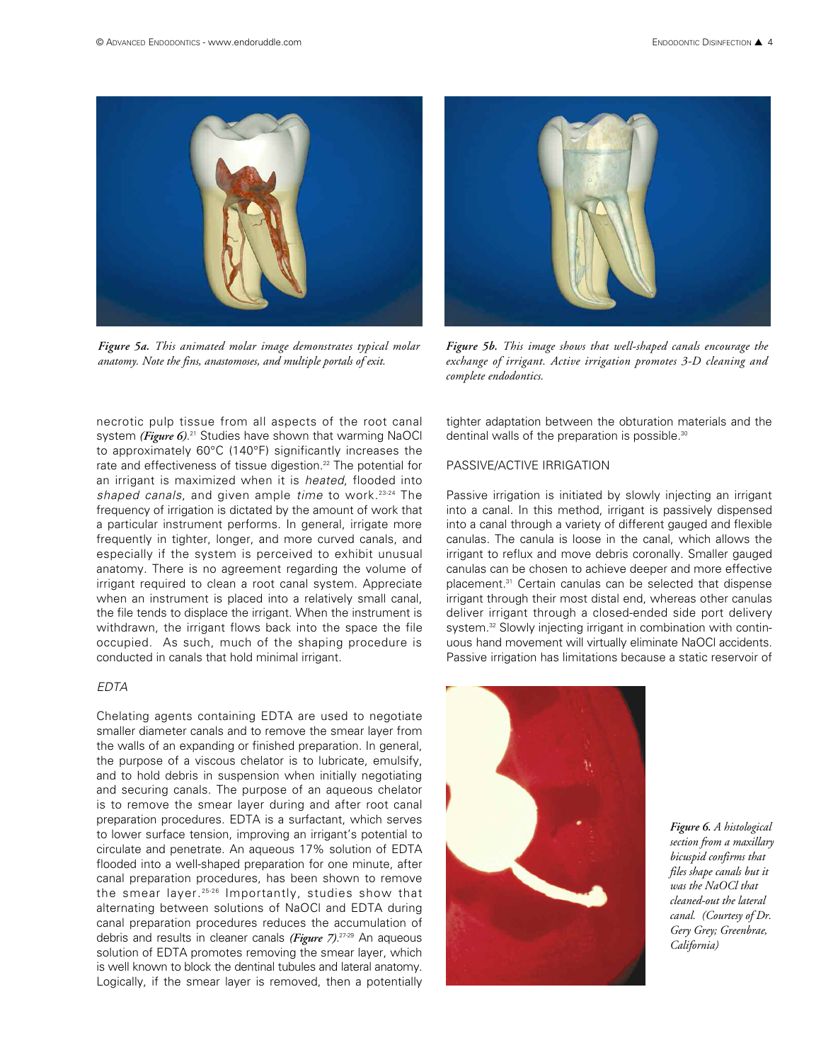

*Figure 5a. This animated molar image demonstrates typical molar anatomy. Note the fins, anastomoses, and multiple portals of exit.*

necrotic pulp tissue from all aspects of the root canal system *(Figure 6)*. <sup>21</sup> Studies have shown that warming NaOCl to approximately 60°C (140°F) significantly increases the rate and effectiveness of tissue digestion.<sup>22</sup> The potential for an irrigant is maximized when it is *heated*, flooded into *shaped canals*, and given ample *time* to work.23-24 The frequency of irrigation is dictated by the amount of work that a particular instrument performs. In general, irrigate more frequently in tighter, longer, and more curved canals, and especially if the system is perceived to exhibit unusual anatomy. There is no agreement regarding the volume of irrigant required to clean a root canal system. Appreciate when an instrument is placed into a relatively small canal, the file tends to displace the irrigant. When the instrument is withdrawn, the irrigant flows back into the space the file occupied. As such, much of the shaping procedure is conducted in canals that hold minimal irrigant.

#### *EDTA*

Chelating agents containing EDTA are used to negotiate smaller diameter canals and to remove the smear layer from the walls of an expanding or finished preparation. In general, the purpose of a viscous chelator is to lubricate, emulsify, and to hold debris in suspension when initially negotiating and securing canals. The purpose of an aqueous chelator is to remove the smear layer during and after root canal preparation procedures. EDTA is a surfactant, which serves to lower surface tension, improving an irrigant's potential to circulate and penetrate. An aqueous 17% solution of EDTA flooded into a well-shaped preparation for one minute, after canal preparation procedures, has been shown to remove the smear layer. 25-26 Importantly, studies show that alternating between solutions of NaOCl and EDTA during canal preparation procedures reduces the accumulation of debris and results in cleaner canals *(Figure 7)*. 27-29 An aqueous solution of EDTA promotes removing the smear layer, which is well known to block the dentinal tubules and lateral anatomy. Logically, if the smear layer is removed, then a potentially



*Figure 5b. This image shows that well-shaped canals encourage the exchange of irrigant. Active irrigation promotes 3-D cleaning and complete endodontics.*

tighter adaptation between the obturation materials and the dentinal walls of the preparation is possible.<sup>30</sup>

# PASSIVE/ACTIVE IRRIGATION

Passive irrigation is initiated by slowly injecting an irrigant into a canal. In this method, irrigant is passively dispensed into a canal through a variety of different gauged and flexible canulas. The canula is loose in the canal, which allows the irrigant to reflux and move debris coronally. Smaller gauged canulas can be chosen to achieve deeper and more effective placement.31 Certain canulas can be selected that dispense irrigant through their most distal end, whereas other canulas deliver irrigant through a closed-ended side port delivery system.<sup>32</sup> Slowly injecting irrigant in combination with continuous hand movement will virtually eliminate NaOCl accidents. Passive irrigation has limitations because a static reservoir of



*Figure 6. A histological section from a maxillary bicuspid confirms that files shape canals but it was the NaOCl that cleaned-out the lateral canal. (Courtesy of Dr. Gery Grey; Greenbrae, California)*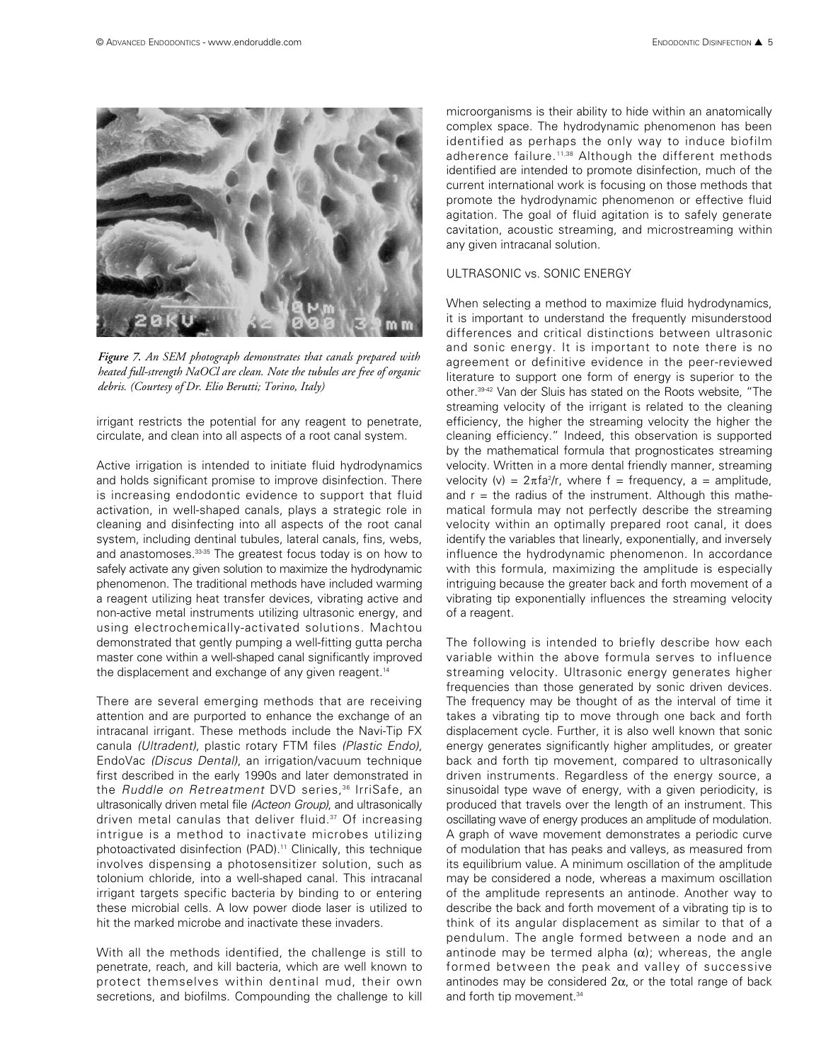

*Figure 7. An SEM photograph demonstrates that canals prepared with heated full-strength NaOCl are clean. Note the tubules are free of organic debris. (Courtesy of Dr. Elio Berutti; Torino, Italy)*

irrigant restricts the potential for any reagent to penetrate, circulate, and clean into all aspects of a root canal system.

Active irrigation is intended to initiate fluid hydrodynamics and holds significant promise to improve disinfection. There is increasing endodontic evidence to support that fluid activation, in well-shaped canals, plays a strategic role in cleaning and disinfecting into all aspects of the root canal system, including dentinal tubules, lateral canals, fins, webs, and anastomoses.<sup>33-35</sup> The greatest focus today is on how to safely activate any given solution to maximize the hydrodynamic phenomenon. The traditional methods have included warming a reagent utilizing heat transfer devices, vibrating active and non-active metal instruments utilizing ultrasonic energy, and using electrochemically-activated solutions. Machtou demonstrated that gently pumping a well-fitting gutta percha master cone within a well-shaped canal significantly improved the displacement and exchange of any given reagent.<sup>14</sup>

There are several emerging methods that are receiving attention and are purported to enhance the exchange of an intracanal irrigant. These methods include the Navi-Tip FX canula *(Ultradent)*, plastic rotary FTM files *(Plastic Endo)*, EndoVac *(Discus Dental)*, an irrigation/vacuum technique first described in the early 1990s and later demonstrated in the *Ruddle on Retreatment* DVD series,<sup>36</sup> IrriSafe, an ultrasonically driven metal file *(Acteon Group)*, and ultrasonically driven metal canulas that deliver fluid.<sup>37</sup> Of increasing intrigue is a method to inactivate microbes utilizing photoactivated disinfection (PAD).<sup>11</sup> Clinically, this technique involves dispensing a photosensitizer solution, such as tolonium chloride, into a well-shaped canal. This intracanal irrigant targets specific bacteria by binding to or entering these microbial cells. A low power diode laser is utilized to hit the marked microbe and inactivate these invaders.

With all the methods identified, the challenge is still to penetrate, reach, and kill bacteria, which are well known to protect themselves within dentinal mud, their own secretions, and biofilms. Compounding the challenge to kill microorganisms is their ability to hide within an anatomically complex space. The hydrodynamic phenomenon has been identified as perhaps the only way to induce biofilm adherence failure.<sup>11,38</sup> Although the different methods identified are intended to promote disinfection, much of the current international work is focusing on those methods that promote the hydrodynamic phenomenon or effective fluid agitation. The goal of fluid agitation is to safely generate cavitation, acoustic streaming, and microstreaming within any given intracanal solution.

#### ULTRASONIC vs. SONIC ENERGY

When selecting a method to maximize fluid hydrodynamics, it is important to understand the frequently misunderstood differences and critical distinctions between ultrasonic and sonic energy. It is important to note there is no agreement or definitive evidence in the peer-reviewed literature to support one form of energy is superior to the other.39-42 Van der Sluis has stated on the Roots website, "The streaming velocity of the irrigant is related to the cleaning efficiency, the higher the streaming velocity the higher the cleaning efficiency." Indeed, this observation is supported by the mathematical formula that prognosticates streaming velocity. Written in a more dental friendly manner, streaming velocity (v) =  $2\pi\frac{4}{r}$ , where f = frequency, a = amplitude, and  $r =$  the radius of the instrument. Although this mathematical formula may not perfectly describe the streaming velocity within an optimally prepared root canal, it does identify the variables that linearly, exponentially, and inversely influence the hydrodynamic phenomenon. In accordance with this formula, maximizing the amplitude is especially intriguing because the greater back and forth movement of a vibrating tip exponentially influences the streaming velocity of a reagent.

The following is intended to briefly describe how each variable within the above formula serves to influence streaming velocity. Ultrasonic energy generates higher frequencies than those generated by sonic driven devices. The frequency may be thought of as the interval of time it takes a vibrating tip to move through one back and forth displacement cycle. Further, it is also well known that sonic energy generates significantly higher amplitudes, or greater back and forth tip movement, compared to ultrasonically driven instruments. Regardless of the energy source, a sinusoidal type wave of energy, with a given periodicity, is produced that travels over the length of an instrument. This oscillating wave of energy produces an amplitude of modulation. A graph of wave movement demonstrates a periodic curve of modulation that has peaks and valleys, as measured from its equilibrium value. A minimum oscillation of the amplitude may be considered a node, whereas a maximum oscillation of the amplitude represents an antinode. Another way to describe the back and forth movement of a vibrating tip is to think of its angular displacement as similar to that of a pendulum. The angle formed between a node and an antinode may be termed alpha  $(\alpha)$ ; whereas, the angle formed between the peak and valley of successive antinodes may be considered  $2\alpha$ , or the total range of back and forth tip movement.<sup>34</sup>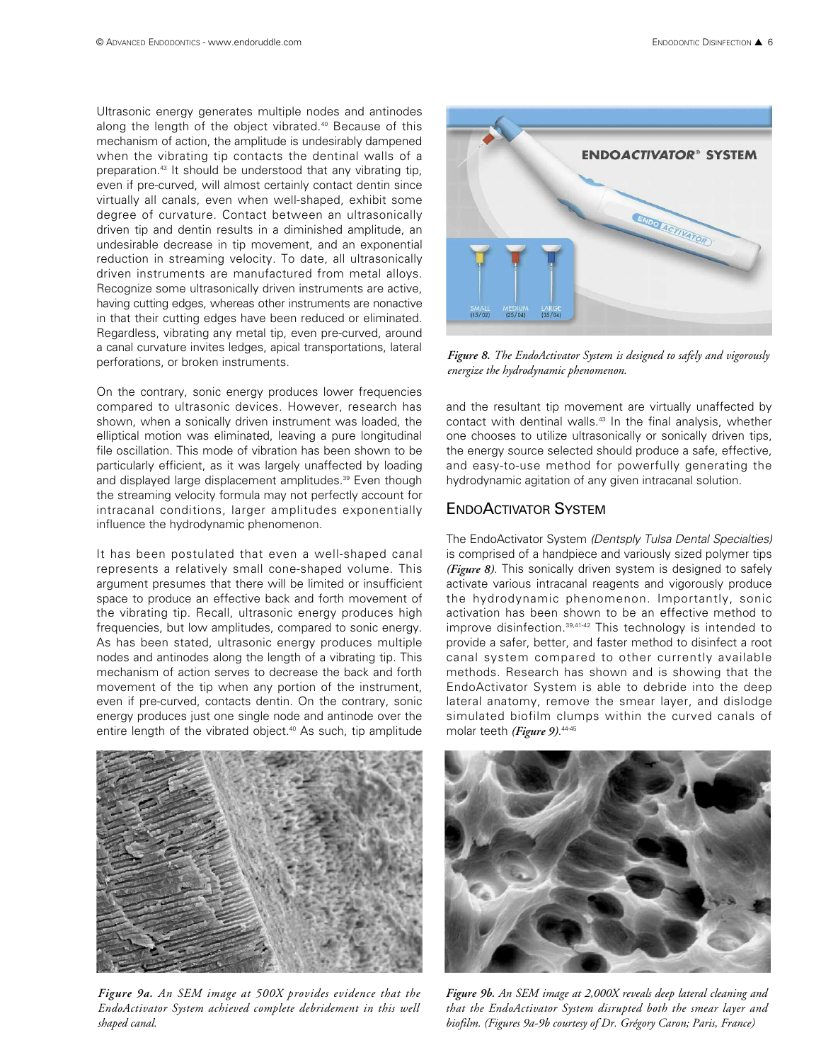Ultrasonic energy generates multiple nodes and antinodes along the length of the object vibrated.<sup>40</sup> Because of this mechanism of action, the amplitude is undesirably dampened when the vibrating tip contacts the dentinal walls of a preparation.<sup>43</sup> It should be understood that any vibrating tip, even if pre-curved, will almost certainly contact dentin since virtually all canals, even when well-shaped, exhibit some degree of curvature. Contact between an ultrasonically driven tip and dentin results in a diminished amplitude, an undesirable decrease in tip movement, and an exponential reduction in streaming velocity. To date, all ultrasonically driven instruments are manufactured from metal alloys. Recognize some ultrasonically driven instruments are active, having cutting edges, whereas other instruments are nonactive in that their cutting edges have been reduced or eliminated. Regardless, vibrating any metal tip, even pre-curved, around a canal curvature invites ledges, apical transportations, lateral perforations, or broken instruments.

On the contrary, sonic energy produces lower frequencies compared to ultrasonic devices. However, research has shown, when a sonically driven instrument was loaded, the elliptical motion was eliminated, leaving a pure longitudinal file oscillation. This mode of vibration has been shown to be particularly efficient, as it was largely unaffected by loading and displayed large displacement amplitudes.<sup>39</sup> Even though the streaming velocity formula may not perfectly account for intracanal conditions, larger amplitudes exponentially influence the hydrodynamic phenomenon.

It has been postulated that even a well-shaped canal represents a relatively small cone-shaped volume. This argument presumes that there will be limited or insufficient space to produce an effective back and forth movement of the vibrating tip. Recall, ultrasonic energy produces high frequencies, but low amplitudes, compared to sonic energy. As has been stated, ultrasonic energy produces multiple nodes and antinodes along the length of a vibrating tip. This mechanism of action serves to decrease the back and forth movement of the tip when any portion of the instrument, even if pre-curved, contacts dentin. On the contrary, sonic energy produces just one single node and antinode over the entire length of the vibrated object.<sup>40</sup> As such, tip amplitude



*Figure 9a. An SEM image at 500X provides evidence that the EndoActivator System achieved complete debridement in this well shaped canal.* 



*Figure 8. The EndoActivator System is designed to safely and vigorously energize the hydrodynamic phenomenon.*

and the resultant tip movement are virtually unaffected by contact with dentinal walls.43 In the final analysis, whether one chooses to utilize ultrasonically or sonically driven tips, the energy source selected should produce a safe, effective, and easy-to-use method for powerfully generating the hydrodynamic agitation of any given intracanal solution.

# ENDOACTIVATOR SYSTEM

The EndoActivator System *(Dentsply Tulsa Dental Specialties)* is comprised of a handpiece and variously sized polymer tips *(Figure 8)*. This sonically driven system is designed to safely activate various intracanal reagents and vigorously produce the hydrodynamic phenomenon. Importantly, sonic activation has been shown to be an effective method to improve disinfection.39,41-42 This technology is intended to provide a safer, better, and faster method to disinfect a root canal system compared to other currently available methods. Research has shown and is showing that the EndoActivator System is able to debride into the deep lateral anatomy, remove the smear layer, and dislodge simulated biofilm clumps within the curved canals of molar teeth *(Figure 9)*. 44-45



*Figure 9b. An SEM image at 2,000X reveals deep lateral cleaning and that the EndoActivator System disrupted both the smear layer and biofilm. (Figures 9a-9b courtesy of Dr. Grégory Caron; Paris, France)*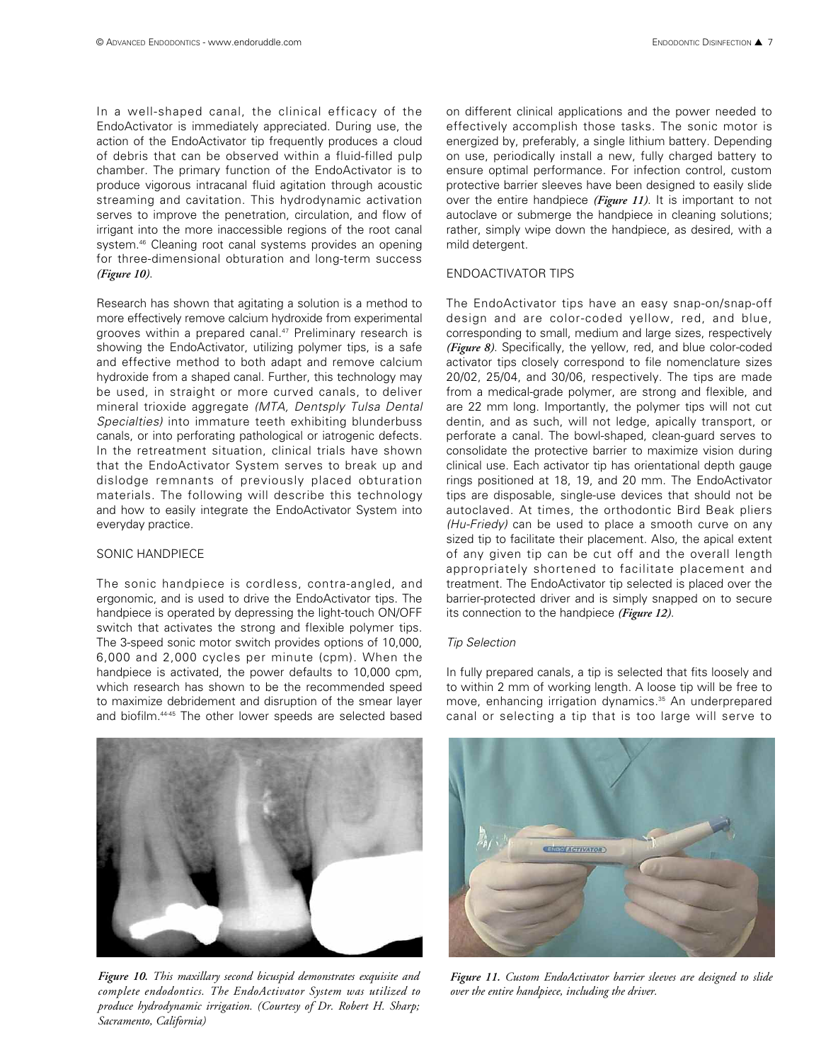In a well-shaped canal, the clinical efficacy of the EndoActivator is immediately appreciated. During use, the action of the EndoActivator tip frequently produces a cloud of debris that can be observed within a fluid-filled pulp chamber. The primary function of the EndoActivator is to produce vigorous intracanal fluid agitation through acoustic streaming and cavitation. This hydrodynamic activation serves to improve the penetration, circulation, and flow of irrigant into the more inaccessible regions of the root canal system.<sup>46</sup> Cleaning root canal systems provides an opening for three-dimensional obturation and long-term success *(Figure 10)*.

Research has shown that agitating a solution is a method to more effectively remove calcium hydroxide from experimental grooves within a prepared canal.47 Preliminary research is showing the EndoActivator, utilizing polymer tips, is a safe and effective method to both adapt and remove calcium hydroxide from a shaped canal. Further, this technology may be used, in straight or more curved canals, to deliver mineral trioxide aggregate *(MTA, Dentsply Tulsa Dental Specialties)* into immature teeth exhibiting blunderbuss canals, or into perforating pathological or iatrogenic defects. In the retreatment situation, clinical trials have shown that the EndoActivator System serves to break up and dislodge remnants of previously placed obturation materials. The following will describe this technology and how to easily integrate the EndoActivator System into everyday practice.

#### SONIC HANDPIECE

The sonic handpiece is cordless, contra-angled, and ergonomic, and is used to drive the EndoActivator tips. The handpiece is operated by depressing the light-touch ON/OFF switch that activates the strong and flexible polymer tips. The 3-speed sonic motor switch provides options of 10,000, 6,000 and 2,000 cycles per minute (cpm). When the handpiece is activated, the power defaults to 10,000 cpm, which research has shown to be the recommended speed to maximize debridement and disruption of the smear layer and biofilm.44-45 The other lower speeds are selected based



on different clinical applications and the power needed to effectively accomplish those tasks. The sonic motor is energized by, preferably, a single lithium battery. Depending on use, periodically install a new, fully charged battery to ensure optimal performance. For infection control, custom protective barrier sleeves have been designed to easily slide over the entire handpiece *(Figure 11)*. It is important to not autoclave or submerge the handpiece in cleaning solutions; rather, simply wipe down the handpiece, as desired, with a mild detergent.

#### ENDOACTIVATOR TIPS

The EndoActivator tips have an easy snap-on/snap-off design and are color-coded yellow, red, and blue, corresponding to small, medium and large sizes, respectively *(Figure 8)*. Specifically, the yellow, red, and blue color-coded activator tips closely correspond to file nomenclature sizes 20/02, 25/04, and 30/06, respectively. The tips are made from a medical-grade polymer, are strong and flexible, and are 22 mm long. Importantly, the polymer tips will not cut dentin, and as such, will not ledge, apically transport, or perforate a canal. The bowl-shaped, clean-guard serves to consolidate the protective barrier to maximize vision during clinical use. Each activator tip has orientational depth gauge rings positioned at 18, 19, and 20 mm. The EndoActivator tips are disposable, single-use devices that should not be autoclaved. At times, the orthodontic Bird Beak pliers *(Hu-Friedy)* can be used to place a smooth curve on any sized tip to facilitate their placement. Also, the apical extent of any given tip can be cut off and the overall length appropriately shortened to facilitate placement and treatment. The EndoActivator tip selected is placed over the barrier-protected driver and is simply snapped on to secure its connection to the handpiece *(Figure 12)*.

#### *Tip Selection*

In fully prepared canals, a tip is selected that fits loosely and to within 2 mm of working length. A loose tip will be free to move, enhancing irrigation dynamics.<sup>35</sup> An underprepared canal or selecting a tip that is too large will serve to



*Figure 10. This maxillary second bicuspid demonstrates exquisite and complete endodontics. The EndoActivator System was utilized to produce hydrodynamic irrigation. (Courtesy of Dr. Robert H. Sharp; Sacramento, California)*



*Figure 11. Custom EndoActivator barrier sleeves are designed to slide over the entire handpiece, including the driver.*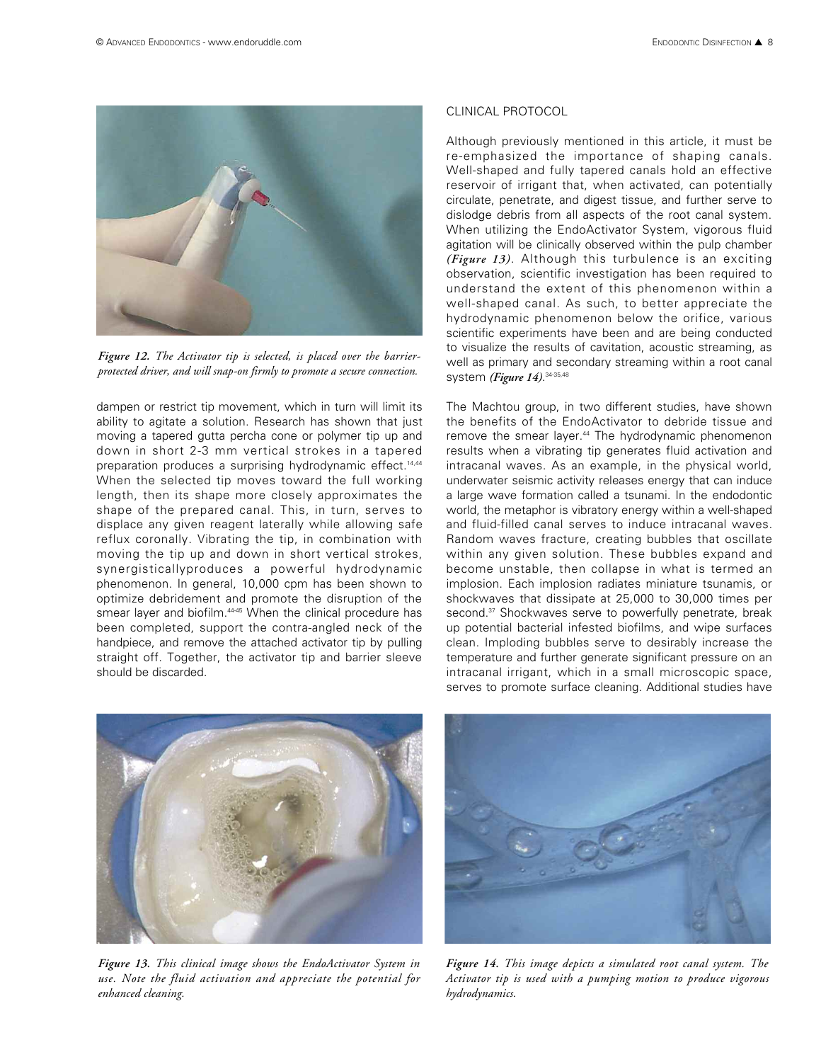

*Figure 12. The Activator tip is selected, is placed over the barrierprotected driver, and will snap-on firmly to promote a secure connection.*

dampen or restrict tip movement, which in turn will limit its ability to agitate a solution. Research has shown that just moving a tapered gutta percha cone or polymer tip up and down in short 2-3 mm vertical strokes in a tapered preparation produces a surprising hydrodynamic effect.<sup>14,44</sup> When the selected tip moves toward the full working length, then its shape more closely approximates the shape of the prepared canal. This, in turn, serves to displace any given reagent laterally while allowing safe reflux coronally. Vibrating the tip, in combination with moving the tip up and down in short vertical strokes, synergisticallyproduces a powerful hydrodynamic phenomenon. In general, 10,000 cpm has been shown to optimize debridement and promote the disruption of the smear layer and biofilm.<sup>4445</sup> When the clinical procedure has been completed, support the contra-angled neck of the handpiece, and remove the attached activator tip by pulling straight off. Together, the activator tip and barrier sleeve should be discarded.

#### CLINICAL PROTOCOL

Although previously mentioned in this article, it must be re-emphasized the importance of shaping canals. Well-shaped and fully tapered canals hold an effective reservoir of irrigant that, when activated, can potentially circulate, penetrate, and digest tissue, and further serve to dislodge debris from all aspects of the root canal system. When utilizing the EndoActivator System, vigorous fluid agitation will be clinically observed within the pulp chamber *(Figure 13)*. Although this turbulence is an exciting observation, scientific investigation has been required to understand the extent of this phenomenon within a well-shaped canal. As such, to better appreciate the hydrodynamic phenomenon below the orifice, various scientific experiments have been and are being conducted to visualize the results of cavitation, acoustic streaming, as well as primary and secondary streaming within a root canal system *(Figure 14)*. 34-35,48

The Machtou group, in two different studies, have shown the benefits of the EndoActivator to debride tissue and remove the smear layer.<sup>44</sup> The hydrodynamic phenomenon results when a vibrating tip generates fluid activation and intracanal waves. As an example, in the physical world, underwater seismic activity releases energy that can induce a large wave formation called a tsunami. In the endodontic world, the metaphor is vibratory energy within a well-shaped and fluid-filled canal serves to induce intracanal waves. Random waves fracture, creating bubbles that oscillate within any given solution. These bubbles expand and become unstable, then collapse in what is termed an implosion. Each implosion radiates miniature tsunamis, or shockwaves that dissipate at 25,000 to 30,000 times per second.<sup>37</sup> Shockwaves serve to powerfully penetrate, break up potential bacterial infested biofilms, and wipe surfaces clean. Imploding bubbles serve to desirably increase the temperature and further generate significant pressure on an intracanal irrigant, which in a small microscopic space, serves to promote surface cleaning. Additional studies have



*Figure 13. This clinical image shows the EndoActivator System in use. Note the fluid activation and appreciate the potential for enhanced cleaning.* 



*Figure 14. This image depicts a simulated root canal system. The Activator tip is used with a pumping motion to produce vigorous hydrodynamics.*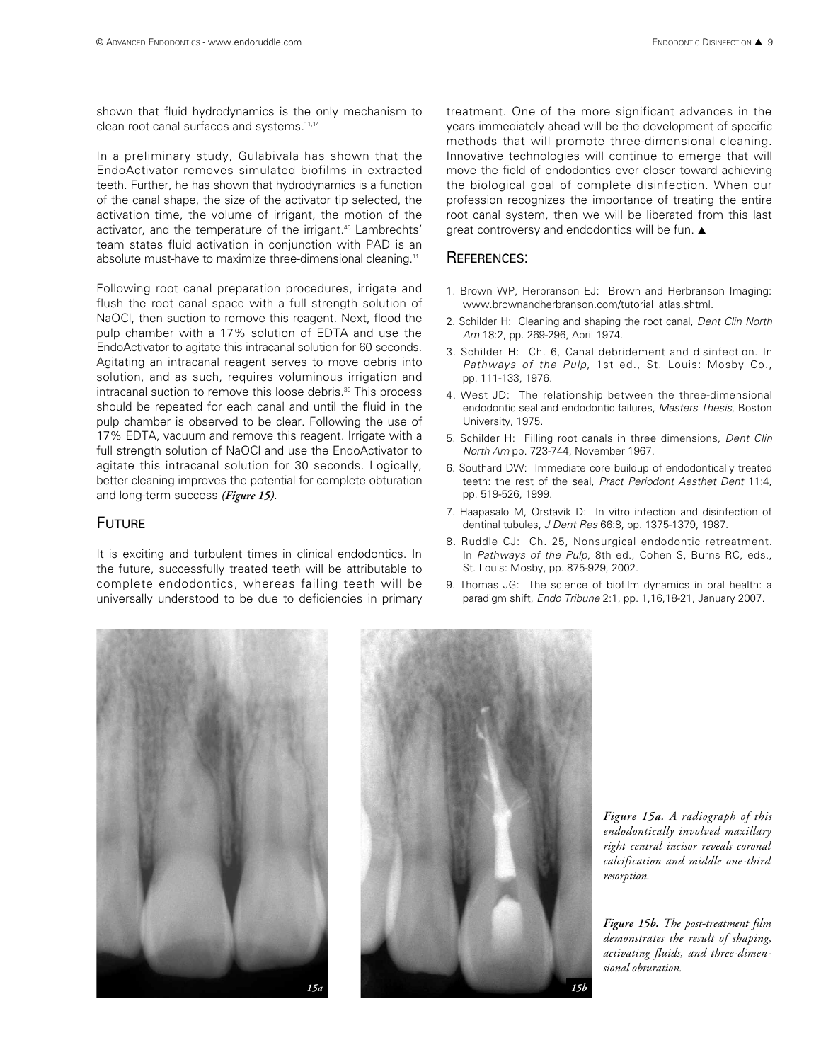shown that fluid hydrodynamics is the only mechanism to clean root canal surfaces and systems.<sup>11,14</sup>

In a preliminary study, Gulabivala has shown that the EndoActivator removes simulated biofilms in extracted teeth. Further, he has shown that hydrodynamics is a function of the canal shape, the size of the activator tip selected, the activation time, the volume of irrigant, the motion of the activator, and the temperature of the irrigant.<sup>45</sup> Lambrechts' team states fluid activation in conjunction with PAD is an absolute must-have to maximize three-dimensional cleaning.<sup>11</sup>

Following root canal preparation procedures, irrigate and flush the root canal space with a full strength solution of NaOCl, then suction to remove this reagent. Next, flood the pulp chamber with a 17% solution of EDTA and use the EndoActivator to agitate this intracanal solution for 60 seconds. Agitating an intracanal reagent serves to move debris into solution, and as such, requires voluminous irrigation and intracanal suction to remove this loose debris.<sup>36</sup> This process should be repeated for each canal and until the fluid in the pulp chamber is observed to be clear. Following the use of 17% EDTA, vacuum and remove this reagent. Irrigate with a full strength solution of NaOCI and use the EndoActivator to agitate this intracanal solution for 30 seconds. Logically, better cleaning improves the potential for complete obturation and long-term success *(Figure 15)*.

# **FUTURE**

It is exciting and turbulent times in clinical endodontics. In the future, successfully treated teeth will be attributable to complete endodontics, whereas failing teeth will be universally understood to be due to deficiencies in primary treatment. One of the more significant advances in the years immediately ahead will be the development of specific methods that will promote three-dimensional cleaning. Innovative technologies will continue to emerge that will move the field of endodontics ever closer toward achieving the biological goal of complete disinfection. When our profession recognizes the importance of treating the entire root canal system, then we will be liberated from this last great controversy and endodontics will be fun. **▲**

# REFERENCES:

- 1. Brown WP, Herbranson EJ: Brown and Herbranson Imaging: www.brownandherbranson.com/tutorial\_atlas.shtml.
- 2. Schilder H: Cleaning and shaping the root canal, *Dent Clin North Am* 18:2, pp. 269-296, April 1974.
- 3. Schilder H: Ch. 6, Canal debridement and disinfection. In *Pathways of the Pulp*, 1st ed., St. Louis: Mosby Co., pp. 111-133, 1976.
- 4. West JD: The relationship between the three-dimensional endodontic seal and endodontic failures, *Masters Thesis*, Boston University, 1975.
- 5. Schilder H: Filling root canals in three dimensions, *Dent Clin North Am* pp. 723-744, November 1967.
- 6. Southard DW: Immediate core buildup of endodontically treated teeth: the rest of the seal, *Pract Periodont Aesthet Dent* 11:4, pp. 519-526, 1999.
- 7. Haapasalo M, Orstavik D: In vitro infection and disinfection of dentinal tubules, *J Dent Res* 66:8, pp. 1375-1379, 1987.
- 8. Ruddle CJ: Ch. 25, Nonsurgical endodontic retreatment. In *Pathways of the Pulp*, 8th ed., Cohen S, Burns RC, eds., St. Louis: Mosby, pp. 875-929, 2002.
- 9. Thomas JG: The science of biofilm dynamics in oral health: a paradigm shift, *Endo Tribune* 2:1, pp. 1,16,18-21, January 2007.





*Figure 15a. A radiograph of this endodontically involved maxillary right central incisor reveals coronal calcification and middle one-third resorption.*

*Figure 15b. The post-treatment film demonstrates the result of shaping, activating fluids, and three-dimensional obturation.*